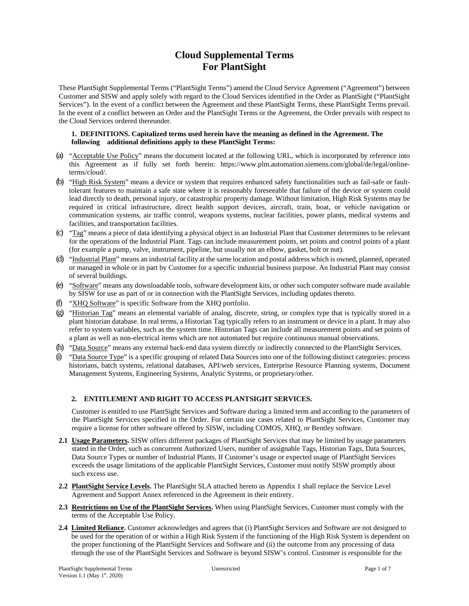# **Cloud Supplemental Terms For PlantSight**

These PlantSight Supplemental Terms ("PlantSight Terms") amend the Cloud Service Agreement ("Agreement") between Customer and SISW and apply solely with regard to the Cloud Services identified in the Order as PlantSight ("PlantSight Services"). In the event of a conflict between the Agreement and these PlantSight Terms, these PlantSight Terms prevail. In the event of a conflict between an Order and the PlantSight Terms or the Agreement, the Order prevails with respect to the Cloud Services ordered thereunder.

#### **1. DEFINITIONS. Capitalized terms used herein have the meaning as defined in the Agreement. The following additional definitions apply to these PlantSight Terms:**

- (a) "Acceptable Use Policy" means the document located at the following URL, which is incorporated by reference into this Agreement as if fully set forth herein: https://www.plm.automation.siemens.com/global/de/legal/onlineterms/cloud/.
- (b) "High Risk System" means a device or system that requires enhanced safety functionalities such as fail-safe or faulttolerant features to maintain a safe state where it is reasonably foreseeable that failure of the device or system could lead directly to death, personal injury, or catastrophic property damage. Without limitation, High Risk Systems may be required in critical infrastructure, direct health support devices, aircraft, train, boat, or vehicle navigation or communication systems, air traffic control, weapons systems, nuclear facilities, power plants, medical systems and facilities, and transportation facilities.
- (c) " $Taq$ " means a piece of data identifying a physical object in an Industrial Plant that Customer determines to be relevant for the operations of the Industrial Plant. Tags can include measurement points, set points and control points of a plant (for example a pump, valve, instrument, pipeline, but usually not an elbow, gasket, bolt or nut).
- (d) "Industrial Plant" means an industrial facility at the same location and postal address which is owned, planned, operated or managed in whole or in part by Customer for a specific industrial business purpose. An Industrial Plant may consist of several buildings.
- (e) "Software" means any downloadable tools, software development kits, or other such computer software made available by SISW for use as part of or in connection with the PlantSight Services, including updates thereto.
- (f) "XHQ Software" is specific Software from the XHQ portfolio.
- (g) "Historian Tag" means an elemental variable of analog, discrete, string, or complex type that is typically stored in a plant historian database. In real terms, a Historian Tag typically refers to an instrument or device in a plant. It may also refer to system variables, such as the system time. Historian Tags can include all measurement points and set points of a plant as well as non-electrical items which are not automated but require continuous manual observations.
- (h) "Data Source" means any external back-end data system directly or indirectly connected to the PlantSight Services.
- $(i)$  "Data Source Type" is a specific grouping of related Data Sources into one of the following distinct categories: process historians, batch systems, relational databases, API/web services, Enterprise Resource Planning systems, Document Management Systems, Engineering Systems, Analytic Systems, or proprietary/other.

#### **2. ENTITLEMENT AND RIGHT TO ACCESS PLANTSIGHT SERVICES.**

Customer is entitled to use PlantSight Services and Software during a limited term and according to the parameters of the PlantSight Services specified in the Order. For certain use cases related to PlantSight Services, Customer may require a license for other software offered by SISW, including COMOS, XHQ, or Bentley software.

- **2.1 Usage Parameters.** SISW offers different packages of PlantSight Services that may be limited by usage parameters stated in the Order, such as concurrent Authorized Users, number of assignable Tags, Historian Tags, Data Sources, Data Source Types or number of Industrial Plants. If Customer's usage or expected usage of PlantSight Services exceeds the usage limitations of the applicable PlantSight Services, Customer must notify SISW promptly about such excess use.
- **2.2 PlantSight Service Levels.** The PlantSight SLA attached hereto as Appendix 1 shall replace the Service Level Agreement and Support Annex referenced in the Agreement in their entirety.
- **2.3 Restrictions on Use of the PlantSight Services.** When using PlantSight Services, Customer must comply with the terms of the Acceptable Use Policy.
- **2.4 Limited Reliance.** Customer acknowledges and agrees that (i) PlantSight Services and Software are not designed to be used for the operation of or within a High Risk System if the functioning of the High Risk System is dependent on the proper functioning of the PlantSight Services and Software and (ii) the outcome from any processing of data through the use of the PlantSight Services and Software is beyond SISW's control. Customer is responsible for the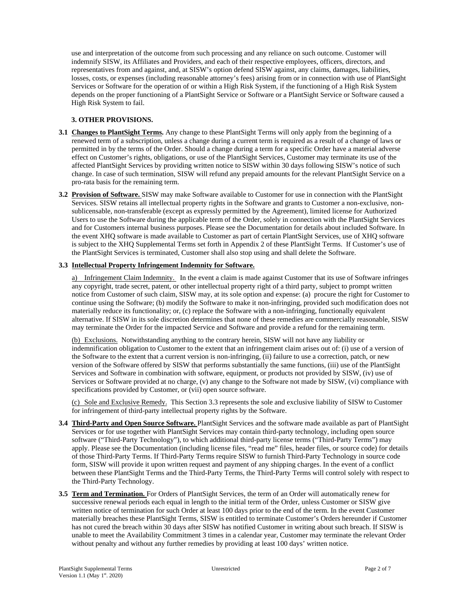use and interpretation of the outcome from such processing and any reliance on such outcome. Customer will indemnify SISW, its Affiliates and Providers, and each of their respective employees, officers, directors, and representatives from and against, and, at SISW's option defend SISW against, any claims, damages, liabilities, losses, costs, or expenses (including reasonable attorney's fees) arising from or in connection with use of PlantSight Services or Software for the operation of or within a High Risk System, if the functioning of a High Risk System depends on the proper functioning of a PlantSight Service or Software or a PlantSight Service or Software caused a High Risk System to fail.

# **3. OTHER PROVISIONS.**

- **3.1 Changes to PlantSight Terms.** Any change to these PlantSight Terms will only apply from the beginning of a renewed term of a subscription, unless a change during a current term is required as a result of a change of laws or permitted in by the terms of the Order. Should a change during a term for a specific Order have a material adverse effect on Customer's rights, obligations, or use of the PlantSight Services, Customer may terminate its use of the affected PlantSight Services by providing written notice to SISW within 30 days following SISW's notice of such change. In case of such termination, SISW will refund any prepaid amounts for the relevant PlantSight Service on a pro-rata basis for the remaining term.
- **3.2 Provision of Software.** SISW may make Software available to Customer for use in connection with the PlantSight Services. SISW retains all intellectual property rights in the Software and grants to Customer a non-exclusive, nonsublicensable, non-transferable (except as expressly permitted by the Agreement), limited license for Authorized Users to use the Software during the applicable term of the Order, solely in connection with the PlantSight Services and for Customers internal business purposes. Please see the Documentation for details about included Software. In the event XHQ software is made available to Customer as part of certain PlantSight Services, use of XHQ software is subject to the XHQ Supplemental Terms set forth in Appendix 2 of these PlantSight Terms. If Customer's use of the PlantSight Services is terminated, Customer shall also stop using and shall delete the Software.

# **3.3 Intellectual Property Infringement Indemnity for Software.**

a) Infringement Claim Indemnity. In the event a claim is made against Customer that its use of Software infringes any copyright, trade secret, patent, or other intellectual property right of a third party, subject to prompt written notice from Customer of such claim, SISW may, at its sole option and expense: (a) procure the right for Customer to continue using the Software; (b) modify the Software to make it non-infringing, provided such modification does not materially reduce its functionality; or, (c) replace the Software with a non-infringing, functionally equivalent alternative. If SISW in its sole discretion determines that none of these remedies are commercially reasonable, SISW may terminate the Order for the impacted Service and Software and provide a refund for the remaining term.

(b) Exclusions. Notwithstanding anything to the contrary herein, SISW will not have any liability or indemnification obligation to Customer to the extent that an infringement claim arises out of: (i) use of a version of the Software to the extent that a current version is non-infringing, (ii) failure to use a correction, patch, or new version of the Software offered by SISW that performs substantially the same functions, (iii) use of the PlantSight Services and Software in combination with software, equipment, or products not provided by SISW, (iv) use of Services or Software provided at no charge, (v) any change to the Software not made by SISW, (vi) compliance with specifications provided by Customer, or (vii) open source software.

(c) Sole and Exclusive Remedy. This Section 3.3 represents the sole and exclusive liability of SISW to Customer for infringement of third-party intellectual property rights by the Software.

- **3.4 Third-Party and Open Source Software.** PlantSight Services and the software made available as part of PlantSight Services or for use together with PlantSight Services may contain third-party technology, including open source software ("Third-Party Technology"), to which additional third-party license terms ("Third-Party Terms") may apply. Please see the Documentation (including license files, "read me" files, header files, or source code) for details of those Third-Party Terms. If Third-Party Terms require SISW to furnish Third-Party Technology in source code form, SISW will provide it upon written request and payment of any shipping charges. In the event of a conflict between these PlantSight Terms and the Third-Party Terms, the Third-Party Terms will control solely with respect to the Third-Party Technology.
- **3.5 Term and Termination.** For Orders of PlantSight Services, the term of an Order will automatically renew for successive renewal periods each equal in length to the initial term of the Order, unless Customer or SISW give written notice of termination for such Order at least 100 days prior to the end of the term. In the event Customer materially breaches these PlantSight Terms, SISW is entitled to terminate Customer's Orders hereunder if Customer has not cured the breach within 30 days after SISW has notified Customer in writing about such breach. If SISW is unable to meet the Availability Commitment 3 times in a calendar year, Customer may terminate the relevant Order without penalty and without any further remedies by providing at least 100 days' written notice.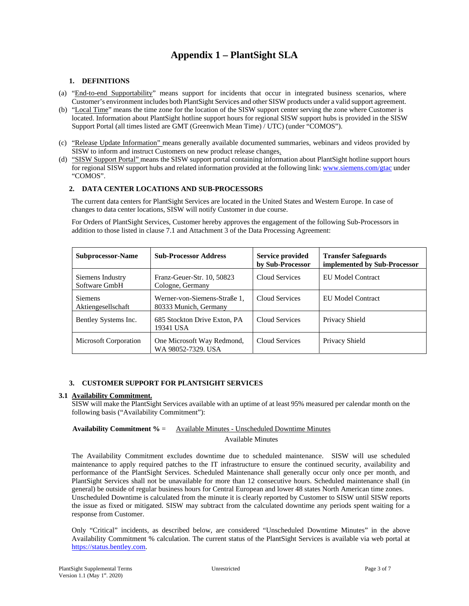# **Appendix 1 – PlantSight SLA**

#### **1. DEFINITIONS**

- (a) "End-to-end Supportability" means support for incidents that occur in integrated business scenarios, where Customer's environment includes both PlantSight Services and other SISW products under a valid support agreement.
- (b) "Local Time" means the time zone for the location of the SISW support center serving the zone where Customer is located. Information about PlantSight hotline support hours for regional SISW support hubs is provided in the SISW Support Portal (all times listed are GMT (Greenwich Mean Time) / UTC) (under "COMOS").
- (c) "Release Update Information" means generally available documented summaries, webinars and videos provided by SISW to inform and instruct Customers on new product release changes.
- (d) "SISW Support Portal" means the SISW support portal containing information about PlantSight hotline support hours for regional SISW support hubs and related information provided at the following link: www.siemens.com/gtac under "COMOS".

#### **2. DATA CENTER LOCATIONS AND SUB-PROCESSORS**

The current data centers for PlantSight Services are located in the United States and Western Europe. In case of changes to data center locations, SISW will notify Customer in due course.

For Orders of PlantSight Services, Customer hereby approves the engagement of the following Sub-Processors in addition to those listed in clause 7.1 and Attachment 3 of the Data Processing Agreement:

| <b>Subprocessor-Name</b>             | <b>Sub-Processor Address</b>                          | Service provided<br>by Sub-Processor | <b>Transfer Safeguards</b><br>implemented by Sub-Processor |
|--------------------------------------|-------------------------------------------------------|--------------------------------------|------------------------------------------------------------|
| Siemens Industry<br>Software GmbH    | Franz-Geuer-Str. 10, 50823<br>Cologne, Germany        | Cloud Services                       | EU Model Contract                                          |
| <b>Siemens</b><br>Aktiengesellschaft | Werner-von-Siemens-Straße 1.<br>80333 Munich, Germany | Cloud Services                       | EU Model Contract                                          |
| Bentley Systems Inc.                 | 685 Stockton Drive Exton, PA<br>19341 USA             | Cloud Services                       | Privacy Shield                                             |
| <b>Microsoft Corporation</b>         | One Microsoft Way Redmond,<br>WA 98052-7329. USA      | Cloud Services                       | Privacy Shield                                             |

# **3. CUSTOMER SUPPORT FOR PLANTSIGHT SERVICES**

## **3.1 Availability Commitment.**

SISW will make the PlantSight Services available with an uptime of at least 95% measured per calendar month on the following basis ("Availability Commitment"):

# **Availability Commitment %** = Available Minutes - Unscheduled Downtime Minutes

#### Available Minutes

The Availability Commitment excludes downtime due to scheduled maintenance. SISW will use scheduled maintenance to apply required patches to the IT infrastructure to ensure the continued security, availability and performance of the PlantSight Services. Scheduled Maintenance shall generally occur only once per month, and PlantSight Services shall not be unavailable for more than 12 consecutive hours. Scheduled maintenance shall (in general) be outside of regular business hours for Central European and lower 48 states North American time zones. Unscheduled Downtime is calculated from the minute it is clearly reported by Customer to SISW until SISW reports the issue as fixed or mitigated. SISW may subtract from the calculated downtime any periods spent waiting for a response from Customer.

Only "Critical" incidents, as described below, are considered "Unscheduled Downtime Minutes" in the above Availability Commitment % calculation. The current status of the PlantSight Services is available via web portal at https://status.bentley.com.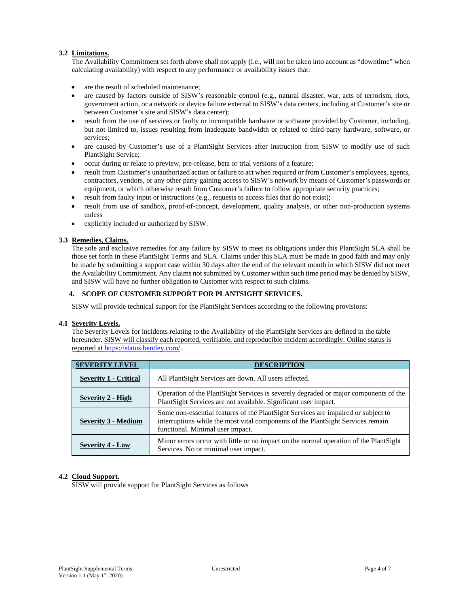# **3.2 Limitations.**

The Availability Commitment set forth above shall not apply (i.e., will not be taken into account as "downtime" when calculating availability) with respect to any performance or availability issues that:

- are the result of scheduled maintenance;
- are caused by factors outside of SISW's reasonable control (e.g., natural disaster, war, acts of terrorism, riots, government action, or a network or device failure external to SISW's data centers, including at Customer's site or between Customer's site and SISW's data center);
- result from the use of services or faulty or incompatible hardware or software provided by Customer, including, but not limited to, issues resulting from inadequate bandwidth or related to third-party hardware, software, or services;
- are caused by Customer's use of a PlantSight Services after instruction from SISW to modify use of such PlantSight Service;
- occur during or relate to preview, pre-release, beta or trial versions of a feature;
- result from Customer's unauthorized action or failure to act when required or from Customer's employees, agents, contractors, vendors, or any other party gaining access to SISW's network by means of Customer's passwords or equipment, or which otherwise result from Customer's failure to follow appropriate security practices;
- result from faulty input or instructions (e.g., requests to access files that do not exist);
- result from use of sandbox, proof-of-concept, development, quality analysis, or other non-production systems unless
- explicitly included or authorized by SISW.

#### **3.3 Remedies, Claims.**

The sole and exclusive remedies for any failure by SISW to meet its obligations under this PlantSight SLA shall be those set forth in these PlantSight Terms and SLA. Claims under this SLA must be made in good faith and may only be made by submitting a support case within 30 days after the end of the relevant month in which SISW did not meet the Availability Commitment. Any claims not submitted by Customer within such time period may be denied by SISW, and SISW will have no further obligation to Customer with respect to such claims.

#### **4. SCOPE OF CUSTOMER SUPPORT FOR PLANTSIGHT SERVICES.**

SISW will provide technical support for the PlantSight Services according to the following provisions:

#### **4.1 Severity Levels.**

The Severity Levels for incidents relating to the Availability of the PlantSight Services are defined in the table hereunder. SISW will classify each reported, verifiable, and reproducible incident accordingly. Online status is reported at https://status.bentley.com/.

| <b>SEVERITY LEVEL</b>        | <b>DESCRIPTION</b>                                                                                                                                                                                       |  |  |
|------------------------------|----------------------------------------------------------------------------------------------------------------------------------------------------------------------------------------------------------|--|--|
| <b>Severity 1 - Critical</b> | All PlantSight Services are down. All users affected.                                                                                                                                                    |  |  |
| <b>Severity 2 - High</b>     | Operation of the Plant Sight Services is severely degraded or major components of the<br>PlantSight Services are not available. Significant user impact.                                                 |  |  |
| <b>Severity 3 - Medium</b>   | Some non-essential features of the PlantSight Services are impaired or subject to<br>interruptions while the most vital components of the PlantSight Services remain<br>functional. Minimal user impact. |  |  |
| <b>Severity 4 - Low</b>      | Minor errors occur with little or no impact on the normal operation of the PlantSight<br>Services. No or minimal user impact.                                                                            |  |  |

#### **4.2 Cloud Support.**

SISW will provide support for PlantSight Services as follows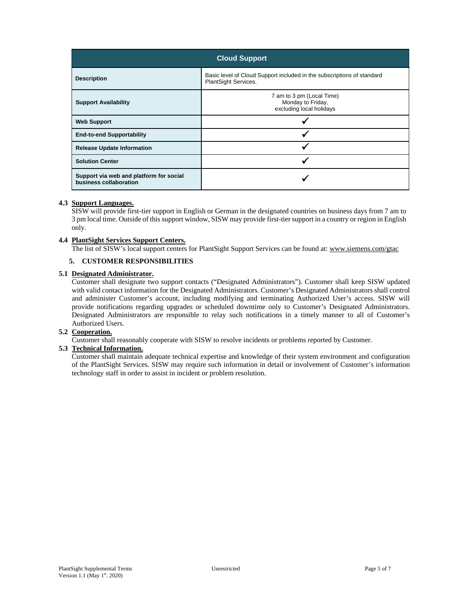| <b>Cloud Support</b>                                              |                                                                                                |  |
|-------------------------------------------------------------------|------------------------------------------------------------------------------------------------|--|
| <b>Description</b>                                                | Basic level of Cloud Support included in the subscriptions of standard<br>PlantSight Services. |  |
| <b>Support Availability</b>                                       | 7 am to 3 pm (Local Time)<br>Monday to Friday,<br>excluding local holidays                     |  |
| <b>Web Support</b>                                                |                                                                                                |  |
| <b>End-to-end Supportability</b>                                  |                                                                                                |  |
| <b>Release Update Information</b>                                 |                                                                                                |  |
| <b>Solution Center</b>                                            |                                                                                                |  |
| Support via web and platform for social<br>business collaboration |                                                                                                |  |

# **4.3 Support Languages.**

SISW will provide first-tier support in English or German in the designated countries on business days from 7 am to 3 pm local time. Outside of this support window, SISW may provide first-tier support in a country or region in English only.

#### **4.4 PlantSight Services Support Centers.**

The list of SISW's local support centers for PlantSight Support Services can be found at: www.siemens.com/gtac

#### **5. CUSTOMER RESPONSIBILITIES**

#### **5.1 Designated Administrator.**

Customer shall designate two support contacts ("Designated Administrators"). Customer shall keep SISW updated with valid contact information for the Designated Administrators. Customer's Designated Administrators shall control and administer Customer's account, including modifying and terminating Authorized User's access. SISW will provide notifications regarding upgrades or scheduled downtime only to Customer's Designated Administrators. Designated Administrators are responsible to relay such notifications in a timely manner to all of Customer's Authorized Users.

#### **5.2 Cooperation.**

Customer shall reasonably cooperate with SISW to resolve incidents or problems reported by Customer.

## **5.3 Technical Information.**

Customer shall maintain adequate technical expertise and knowledge of their system environment and configuration of the PlantSight Services. SISW may require such information in detail or involvement of Customer's information technology staff in order to assist in incident or problem resolution.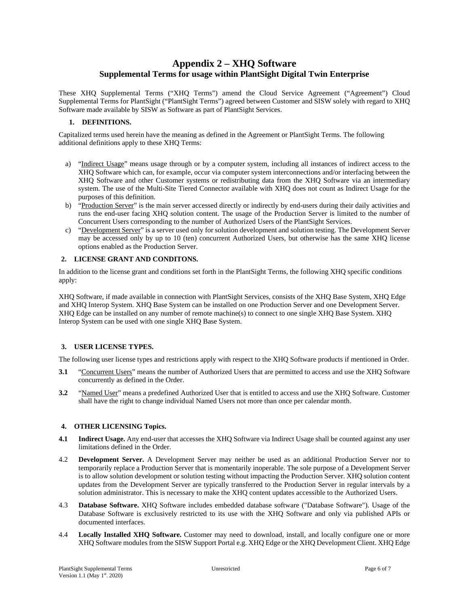# **Appendix 2 – XHQ Software Supplemental Terms for usage within PlantSight Digital Twin Enterprise**

These XHQ Supplemental Terms ("XHQ Terms") amend the Cloud Service Agreement ("Agreement") Cloud Supplemental Terms for PlantSight ("PlantSight Terms") agreed between Customer and SISW solely with regard to XHQ Software made available by SISW as Software as part of PlantSight Services.

#### **1. DEFINITIONS.**

Capitalized terms used herein have the meaning as defined in the Agreement or PlantSight Terms. The following additional definitions apply to these XHQ Terms:

- a) "Indirect Usage" means usage through or by a computer system, including all instances of indirect access to the XHQ Software which can, for example, occur via computer system interconnections and/or interfacing between the XHQ Software and other Customer systems or redistributing data from the XHQ Software via an intermediary system. The use of the Multi-Site Tiered Connector available with XHQ does not count as Indirect Usage for the purposes of this definition.
- b) "Production Server" is the main server accessed directly or indirectly by end-users during their daily activities and runs the end-user facing XHQ solution content. The usage of the Production Server is limited to the number of Concurrent Users corresponding to the number of Authorized Users of the PlantSight Services.
- c) "Development Server" is a server used only for solution development and solution testing. The Development Server may be accessed only by up to 10 (ten) concurrent Authorized Users, but otherwise has the same XHQ license options enabled as the Production Server.

# **2. LICENSE GRANT AND CONDITONS.**

In addition to the license grant and conditions set forth in the PlantSight Terms, the following XHQ specific conditions apply:

XHQ Software, if made available in connection with PlantSight Services, consists of the XHQ Base System, XHQ Edge and XHQ Interop System. XHQ Base System can be installed on one Production Server and one Development Server. XHQ Edge can be installed on any number of remote machine(s) to connect to one single XHQ Base System. XHQ Interop System can be used with one single XHQ Base System.

# **3. USER LICENSE TYPES.**

The following user license types and restrictions apply with respect to the XHQ Software products if mentioned in Order.

- **3.1** "Concurrent Users" means the number of Authorized Users that are permitted to access and use the XHQ Software concurrently as defined in the Order.
- **3.2** "Named User" means a predefined Authorized User that is entitled to access and use the XHQ Software. Customer shall have the right to change individual Named Users not more than once per calendar month.

#### **4. OTHER LICENSING Topics.**

- **4.1** Indirect Usage. Any end-user that accesses the XHQ Software via Indirect Usage shall be counted against any user limitations defined in the Order.
- 4.2 **Development Server.** A Development Server may neither be used as an additional Production Server nor to temporarily replace a Production Server that is momentarily inoperable. The sole purpose of a Development Server is to allow solution development or solution testing without impacting the Production Server. XHQ solution content updates from the Development Server are typically transferred to the Production Server in regular intervals by a solution administrator. This is necessary to make the XHQ content updates accessible to the Authorized Users.
- 4.3 **Database Software.** XHQ Software includes embedded database software ("Database Software"). Usage of the Database Software is exclusively restricted to its use with the XHQ Software and only via published APIs or documented interfaces.
- 4.4 **Locally Installed XHQ Software.** Customer may need to download, install, and locally configure one or more XHQ Software modules from the SISW Support Portal e.g. XHQ Edge or the XHQ Development Client. XHQ Edge